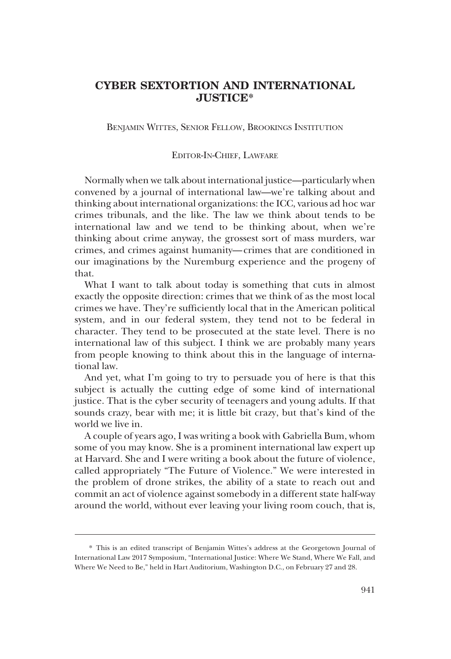## **CYBER SEXTORTION AND INTERNATIONAL JUSTICE\***

BENJAMIN WITTES, SENIOR FELLOW, BROOKINGS INSTITUTION

## EDITOR-IN-CHIEF, LAWFARE

Normally when we talk about international justice—particularly when convened by a journal of international law—we're talking about and thinking about international organizations: the ICC, various ad hoc war crimes tribunals, and the like. The law we think about tends to be international law and we tend to be thinking about, when we're thinking about crime anyway, the grossest sort of mass murders, war crimes, and crimes against humanity—crimes that are conditioned in our imaginations by the Nuremburg experience and the progeny of that.

What I want to talk about today is something that cuts in almost exactly the opposite direction: crimes that we think of as the most local crimes we have. They're sufficiently local that in the American political system, and in our federal system, they tend not to be federal in character. They tend to be prosecuted at the state level. There is no international law of this subject. I think we are probably many years from people knowing to think about this in the language of international law.

And yet, what I'm going to try to persuade you of here is that this subject is actually the cutting edge of some kind of international justice. That is the cyber security of teenagers and young adults. If that sounds crazy, bear with me; it is little bit crazy, but that's kind of the world we live in.

A couple of years ago, I was writing a book with Gabriella Bum, whom some of you may know. She is a prominent international law expert up at Harvard. She and I were writing a book about the future of violence, called appropriately "The Future of Violence." We were interested in the problem of drone strikes, the ability of a state to reach out and commit an act of violence against somebody in a different state half-way around the world, without ever leaving your living room couch, that is,

<sup>\*</sup> This is an edited transcript of Benjamin Wittes's address at the Georgetown Journal of International Law 2017 Symposium, "International Justice: Where We Stand, Where We Fall, and Where We Need to Be," held in Hart Auditorium, Washington D.C., on February 27 and 28.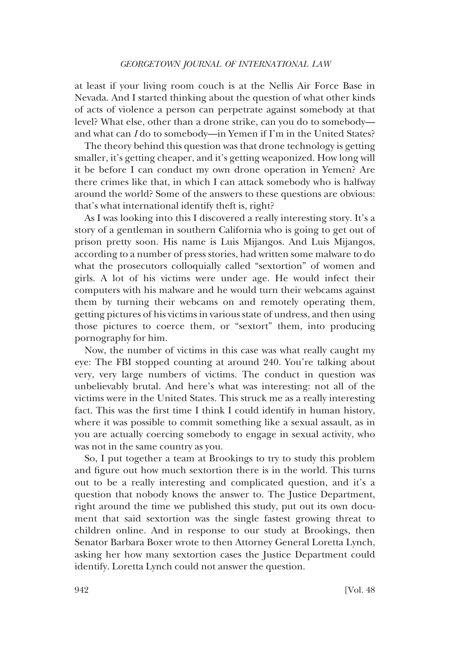at least if your living room couch is at the Nellis Air Force Base in Nevada. And I started thinking about the question of what other kinds of acts of violence a person can perpetrate against somebody at that level? What else, other than a drone strike, can you do to somebody and what can *I* do to somebody—in Yemen if I'm in the United States?

The theory behind this question was that drone technology is getting smaller, it's getting cheaper, and it's getting weaponized. How long will it be before I can conduct my own drone operation in Yemen? Are there crimes like that, in which I can attack somebody who is halfway around the world? Some of the answers to these questions are obvious: that's what international identify theft is, right?

As I was looking into this I discovered a really interesting story. It's a story of a gentleman in southern California who is going to get out of prison pretty soon. His name is Luis Mijangos. And Luis Mijangos, according to a number of press stories, had written some malware to do what the prosecutors colloquially called "sextortion" of women and girls. A lot of his victims were under age. He would infect their computers with his malware and he would turn their webcams against them by turning their webcams on and remotely operating them, getting pictures of his victims in various state of undress, and then using those pictures to coerce them, or "sextort" them, into producing pornography for him.

Now, the number of victims in this case was what really caught my eye: The FBI stopped counting at around 240. You're talking about very, very large numbers of victims. The conduct in question was unbelievably brutal. And here's what was interesting: not all of the victims were in the United States. This struck me as a really interesting fact. This was the first time I think I could identify in human history, where it was possible to commit something like a sexual assault, as in you are actually coercing somebody to engage in sexual activity, who was not in the same country as you.

So, I put together a team at Brookings to try to study this problem and figure out how much sextortion there is in the world. This turns out to be a really interesting and complicated question, and it's a question that nobody knows the answer to. The Justice Department, right around the time we published this study, put out its own document that said sextortion was the single fastest growing threat to children online. And in response to our study at Brookings, then Senator Barbara Boxer wrote to then Attorney General Loretta Lynch, asking her how many sextortion cases the Justice Department could identify. Loretta Lynch could not answer the question.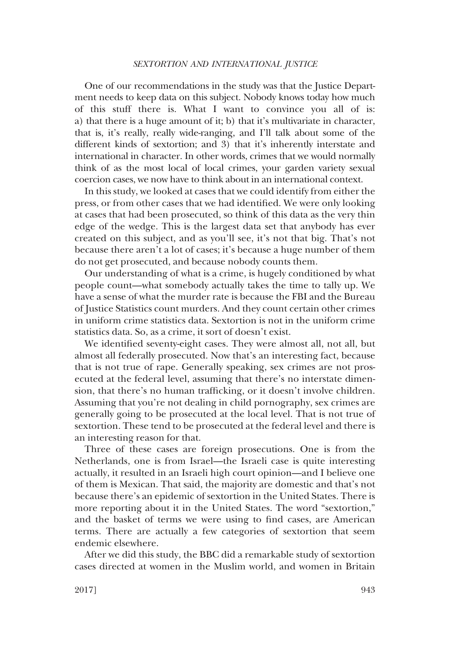## *SEXTORTION AND INTERNATIONAL JUSTICE*

One of our recommendations in the study was that the Justice Department needs to keep data on this subject. Nobody knows today how much of this stuff there is. What I want to convince you all of is: a) that there is a huge amount of it; b) that it's multivariate in character, that is, it's really, really wide-ranging, and I'll talk about some of the different kinds of sextortion; and 3) that it's inherently interstate and international in character. In other words, crimes that we would normally think of as the most local of local crimes, your garden variety sexual coercion cases, we now have to think about in an international context.

In this study, we looked at cases that we could identify from either the press, or from other cases that we had identified. We were only looking at cases that had been prosecuted, so think of this data as the very thin edge of the wedge. This is the largest data set that anybody has ever created on this subject, and as you'll see, it's not that big. That's not because there aren't a lot of cases; it's because a huge number of them do not get prosecuted, and because nobody counts them.

Our understanding of what is a crime, is hugely conditioned by what people count—what somebody actually takes the time to tally up. We have a sense of what the murder rate is because the FBI and the Bureau of Justice Statistics count murders. And they count certain other crimes in uniform crime statistics data. Sextortion is not in the uniform crime statistics data. So, as a crime, it sort of doesn't exist.

We identified seventy-eight cases. They were almost all, not all, but almost all federally prosecuted. Now that's an interesting fact, because that is not true of rape. Generally speaking, sex crimes are not prosecuted at the federal level, assuming that there's no interstate dimension, that there's no human trafficking, or it doesn't involve children. Assuming that you're not dealing in child pornography, sex crimes are generally going to be prosecuted at the local level. That is not true of sextortion. These tend to be prosecuted at the federal level and there is an interesting reason for that.

Three of these cases are foreign prosecutions. One is from the Netherlands, one is from Israel—the Israeli case is quite interesting actually, it resulted in an Israeli high court opinion—and I believe one of them is Mexican. That said, the majority are domestic and that's not because there's an epidemic of sextortion in the United States. There is more reporting about it in the United States. The word "sextortion," and the basket of terms we were using to find cases, are American terms. There are actually a few categories of sextortion that seem endemic elsewhere.

After we did this study, the BBC did a remarkable study of sextortion cases directed at women in the Muslim world, and women in Britain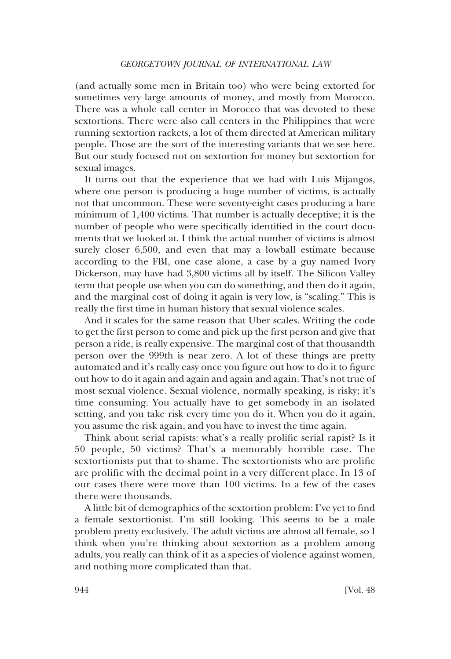(and actually some men in Britain too) who were being extorted for sometimes very large amounts of money, and mostly from Morocco. There was a whole call center in Morocco that was devoted to these sextortions. There were also call centers in the Philippines that were running sextortion rackets, a lot of them directed at American military people. Those are the sort of the interesting variants that we see here. But our study focused not on sextortion for money but sextortion for sexual images.

It turns out that the experience that we had with Luis Mijangos, where one person is producing a huge number of victims, is actually not that uncommon. These were seventy-eight cases producing a bare minimum of 1,400 victims. That number is actually deceptive; it is the number of people who were specifically identified in the court documents that we looked at. I think the actual number of victims is almost surely closer 6,500, and even that may a lowball estimate because according to the FBI, one case alone, a case by a guy named Ivory Dickerson, may have had 3,800 victims all by itself. The Silicon Valley term that people use when you can do something, and then do it again, and the marginal cost of doing it again is very low, is "scaling." This is really the first time in human history that sexual violence scales.

And it scales for the same reason that Uber scales. Writing the code to get the first person to come and pick up the first person and give that person a ride, is really expensive. The marginal cost of that thousandth person over the 999th is near zero. A lot of these things are pretty automated and it's really easy once you figure out how to do it to figure out how to do it again and again and again and again. That's not true of most sexual violence. Sexual violence, normally speaking, is risky; it's time consuming. You actually have to get somebody in an isolated setting, and you take risk every time you do it. When you do it again, you assume the risk again, and you have to invest the time again.

Think about serial rapists: what's a really prolific serial rapist? Is it 50 people, 50 victims? That's a memorably horrible case. The sextortionists put that to shame. The sextortionists who are prolific are prolific with the decimal point in a very different place. In 13 of our cases there were more than 100 victims. In a few of the cases there were thousands.

A little bit of demographics of the sextortion problem: I've yet to find a female sextortionist. I'm still looking. This seems to be a male problem pretty exclusively. The adult victims are almost all female, so I think when you're thinking about sextortion as a problem among adults, you really can think of it as a species of violence against women, and nothing more complicated than that.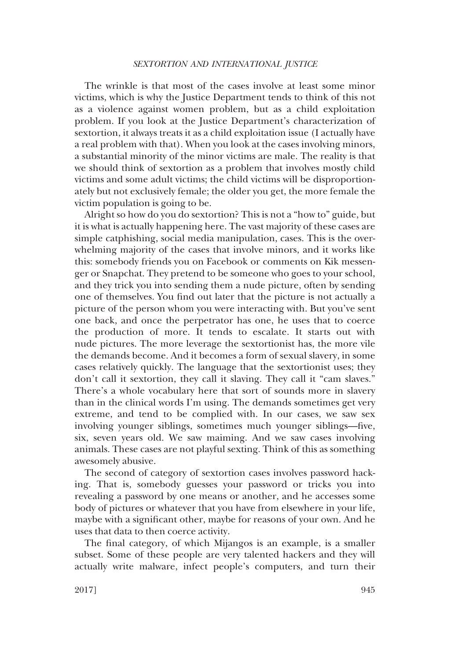## *SEXTORTION AND INTERNATIONAL JUSTICE*

The wrinkle is that most of the cases involve at least some minor victims, which is why the Justice Department tends to think of this not as a violence against women problem, but as a child exploitation problem. If you look at the Justice Department's characterization of sextortion, it always treats it as a child exploitation issue (I actually have a real problem with that). When you look at the cases involving minors, a substantial minority of the minor victims are male. The reality is that we should think of sextortion as a problem that involves mostly child victims and some adult victims; the child victims will be disproportionately but not exclusively female; the older you get, the more female the victim population is going to be.

Alright so how do you do sextortion? This is not a "how to" guide, but it is what is actually happening here. The vast majority of these cases are simple catphishing, social media manipulation, cases. This is the overwhelming majority of the cases that involve minors, and it works like this: somebody friends you on Facebook or comments on Kik messenger or Snapchat. They pretend to be someone who goes to your school, and they trick you into sending them a nude picture, often by sending one of themselves. You find out later that the picture is not actually a picture of the person whom you were interacting with. But you've sent one back, and once the perpetrator has one, he uses that to coerce the production of more. It tends to escalate. It starts out with nude pictures. The more leverage the sextortionist has, the more vile the demands become. And it becomes a form of sexual slavery, in some cases relatively quickly. The language that the sextortionist uses; they don't call it sextortion, they call it slaving. They call it "cam slaves." There's a whole vocabulary here that sort of sounds more in slavery than in the clinical words I'm using. The demands sometimes get very extreme, and tend to be complied with. In our cases, we saw sex involving younger siblings, sometimes much younger siblings—five, six, seven years old. We saw maiming. And we saw cases involving animals. These cases are not playful sexting. Think of this as something awesomely abusive.

The second of category of sextortion cases involves password hacking. That is, somebody guesses your password or tricks you into revealing a password by one means or another, and he accesses some body of pictures or whatever that you have from elsewhere in your life, maybe with a significant other, maybe for reasons of your own. And he uses that data to then coerce activity.

The final category, of which Mijangos is an example, is a smaller subset. Some of these people are very talented hackers and they will actually write malware, infect people's computers, and turn their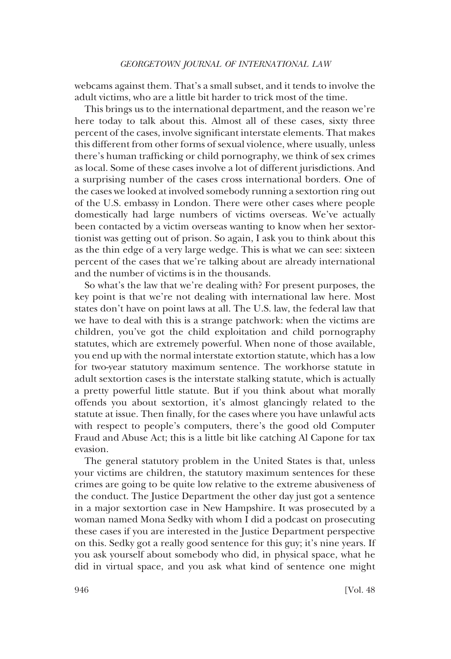webcams against them. That's a small subset, and it tends to involve the adult victims, who are a little bit harder to trick most of the time.

This brings us to the international department, and the reason we're here today to talk about this. Almost all of these cases, sixty three percent of the cases, involve significant interstate elements. That makes this different from other forms of sexual violence, where usually, unless there's human trafficking or child pornography, we think of sex crimes as local. Some of these cases involve a lot of different jurisdictions. And a surprising number of the cases cross international borders. One of the cases we looked at involved somebody running a sextortion ring out of the U.S. embassy in London. There were other cases where people domestically had large numbers of victims overseas. We've actually been contacted by a victim overseas wanting to know when her sextortionist was getting out of prison. So again, I ask you to think about this as the thin edge of a very large wedge. This is what we can see: sixteen percent of the cases that we're talking about are already international and the number of victims is in the thousands.

So what's the law that we're dealing with? For present purposes, the key point is that we're not dealing with international law here. Most states don't have on point laws at all. The U.S. law, the federal law that we have to deal with this is a strange patchwork: when the victims are children, you've got the child exploitation and child pornography statutes, which are extremely powerful. When none of those available, you end up with the normal interstate extortion statute, which has a low for two-year statutory maximum sentence. The workhorse statute in adult sextortion cases is the interstate stalking statute, which is actually a pretty powerful little statute. But if you think about what morally offends you about sextortion, it's almost glancingly related to the statute at issue. Then finally, for the cases where you have unlawful acts with respect to people's computers, there's the good old Computer Fraud and Abuse Act; this is a little bit like catching Al Capone for tax evasion.

The general statutory problem in the United States is that, unless your victims are children, the statutory maximum sentences for these crimes are going to be quite low relative to the extreme abusiveness of the conduct. The Justice Department the other day just got a sentence in a major sextortion case in New Hampshire. It was prosecuted by a woman named Mona Sedky with whom I did a podcast on prosecuting these cases if you are interested in the Justice Department perspective on this. Sedky got a really good sentence for this guy; it's nine years. If you ask yourself about somebody who did, in physical space, what he did in virtual space, and you ask what kind of sentence one might